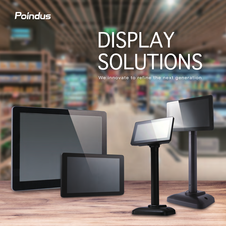# Poindus

# DISPLAY SOLUTIONS

We innovate to refine the next generation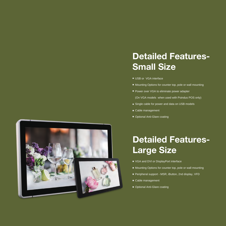## **Detailed Features-Small Size**

- USB or VGA interface
- Mounting Options for counter top, pole or wall mounting
- Power over VGA to eliminate power adapter
- (On VGA models when used with Poindus POS only)
- Single cable for power and data on USB models
- Cable management
- Optional Anti-Glare coating



# **Detailed Features-Large Size**

- VGA and DVI or DisplayPort interface
- **Mounting Options for counter top, pole or wall mounting**
- Peripheral support MSR, iButton, 2nd display, VFD
- Cable management
- Optional Anti-Glare coating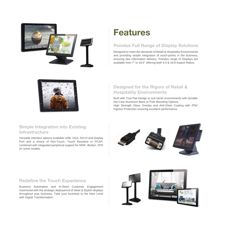

# **Features**

## **Poindus Full Range of Display Solutions**

Designed to meet the demands of Retail & Hospitality Environments and providing simple integration of touch-points in the business, ensuring fast information delivery. Poindus range of Displays are available from 7" to 18.5" offering both 4:3 & 16:9 Aspect Ratios.



## **Designed for the Rigors of Retail & Hospitality Environments**

Built with True Flat Design to suit harsh environments with durable Die-Cast Aluminum Base or Pole Mounting Options. High Strength Glass Overlay and Anti-Glare Coating with IP54 Ingress Protection ensuring excellent performance.

## **Simple Integration into Existing Infrastructure**

Versatile interface options available USB, VGA, DVI-D and Display Port and a choice of Non-Touch, Touch Resistive or PCAP; combined with integrated peripheral support for MSR, iButton, VFD on some models



## **Redefine the Touch Experience**

Business Automation and In-Store Customer Engagement maximized with the strategic deployemnt of sleek & Stylish displays throughout your business. Take your business to the Next Level with Digital Transformation.

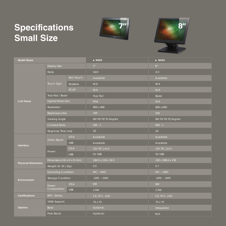# **Specifications Small Size**





| <b>Model Name</b>         |                            |             | • M363                            | • M434                 |  |
|---------------------------|----------------------------|-------------|-----------------------------------|------------------------|--|
|                           | <b>Display Size</b>        |             | 7"                                | 8"                     |  |
|                           | Ratio                      |             | 16:9                              | 4:3                    |  |
|                           | Touch Type                 | Non-Touch   | Available                         | Available              |  |
|                           |                            | Resistive   | N/A                               | N/A                    |  |
|                           |                            | <b>PCAP</b> | N/A                               | N/A                    |  |
|                           | True-Flat / Bezel          |             | True Flat                         | Bezel                  |  |
| <b>LCD Panel</b>          | <b>Ingress Protection</b>  |             | <b>IP54</b>                       | N/A                    |  |
|                           | Resolution                 |             | 800 x 480                         | 800 x 600              |  |
|                           | Brightness (nits)          |             | 350                               | 250                    |  |
|                           | Viewing Angle              |             | 60/70/70/70 degree                | 60/70/70/70 degree     |  |
|                           | Contrast Ratio             |             | 500:1                             | 800:1                  |  |
|                           | Response Time (ms)         |             | 20                                | 20                     |  |
|                           | Video Signal               | <b>VGA</b>  | Available                         | Available              |  |
|                           |                            | <b>USB</b>  | Available                         | Available              |  |
| Interface                 |                            | <b>VGA</b>  | 12V DC Jack                       | 12V DC Jack            |  |
|                           | Power                      | USB         | 5V USB                            | 5V USB                 |  |
| <b>Physical Dimension</b> | Dimensions (W x H x D mm)  |             | 184.5 x 118 x 34.5                | 192 x 186.6 x 130      |  |
|                           | Weight (N. W.) (Kg)        |             | 0.5                               | 0.7                    |  |
| <b>Environment</b>        | <b>Operating Condition</b> |             | $0^{\circ}$ C ~ 40°C              | $0^{\circ}$ C ~ 40°C   |  |
|                           | <b>Storage Condition</b>   |             | $-10^{\circ}$ C ~ 50 $^{\circ}$ C | $-10^{\circ}$ C ~ 50°C |  |
|                           | Power<br>Consumption       | <b>VGA</b>  | 6W                                | 6W                     |  |
|                           |                            | <b>USB</b>  | 2.5W                              | 2.5W                   |  |
| <b>Certifications</b>     | EMI / Safety               |             | CE, FCC, LVD                      | CE, FCC, LVD           |  |
| <b>Options</b>            | <b>VESA Support</b>        |             | 75 x 75                           | 75 x 75                |  |
|                           | <b>Base</b>                |             | Optional                          | Integrated             |  |
|                           | Pole Stand                 |             | Optional                          | N/A                    |  |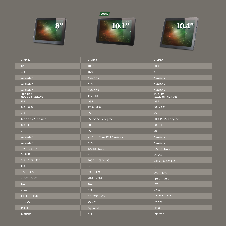







| • M354                           | • M185                            | • M365                           |
|----------------------------------|-----------------------------------|----------------------------------|
| 8"                               | 10.1"                             | 10.4"                            |
| 4:3                              | 16:9                              | 4:3                              |
| Available                        | Available                         | Available                        |
| Available                        | N/A                               | Available                        |
| Available                        | Available                         | Available                        |
| True Flat<br>(Exclude Resistive) | True Flat                         | True Flat<br>(Exclude Resistive) |
| <b>IP54</b>                      | <b>IP54</b>                       | <b>IP54</b>                      |
| $800 \times 600$                 | 1280 x 800                        | 800 x 600                        |
| 250                              | 350                               | 250                              |
| 60/70/70/70 degree               | 85/85/85/85 degree                | 50/60/70/70 degree               |
| 800:1                            | 800:1                             | 500:1                            |
| 20                               | 25                                | 20 <sup>°</sup>                  |
| Available                        | VGA / Display Port Available      | Available                        |
| Available                        | N/A                               | Available                        |
| 12V DC Jack                      | 12V DC Jack                       | 12V DC Jack                      |
| 5V USB                           | N/A                               | 5V USB                           |
| 202 x 163 x 35.5                 | 260.2 x 168.3 x 30                | 244 x 197.4 x 36.4               |
| 0.85                             | 0.9                               | 1.1                              |
| $0^{\circ}$ C ~ 40°C             | $0^{\circ}$ C ~ 40°C              | $0^{\circ}$ C ~ 40 $^{\circ}$ C  |
| $-10^{\circ}$ C ~ 50°C           | $-10^{\circ}$ C ~ 50 $^{\circ}$ C | $-10^{\circ}$ C ~ 50°C           |
| 6W                               | <b>10W</b>                        | <b>8W</b>                        |
| 2.5W                             | N/A                               | 2.5W                             |
| CE, FCC, LVD                     | CE, FCC, LVD                      | CE, FCC, LVD                     |
| 75 x 75                          | 75 x 75                           | 75 x 75                          |
| M454                             | Optional                          | M465                             |
| Optional                         | N/A                               | Optional                         |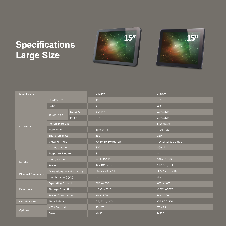# **Specifications Large Size**





| <b>Model Name</b>         |                            |             | • M337                 |                    | • M357                 |              |  |
|---------------------------|----------------------------|-------------|------------------------|--------------------|------------------------|--------------|--|
| <b>LCD Panel</b>          | <b>Display Size</b>        |             | 15"                    |                    | 15"                    |              |  |
|                           | Ratio                      |             | 4:3                    |                    | 4:3                    |              |  |
|                           | Touch Type                 | Resistive   | Available<br>Available |                    |                        |              |  |
|                           |                            | <b>PCAP</b> | N/A                    |                    | Available              |              |  |
|                           | Ingress Protection         |             | ÷.                     |                    | IP54 (Front)           |              |  |
|                           | Resolution                 |             | 1024 x 768             |                    | 1024 x 768             |              |  |
|                           | Brightness (nits)          |             | 350                    |                    | 350                    |              |  |
|                           | <b>Viewing Angle</b>       |             |                        | 70/80/80/80 degree | 70/80/80/80 degree     |              |  |
|                           | Contrast Ratio             |             | 800:1                  |                    | 800:1                  |              |  |
|                           | Response Time (ms)         |             | 8                      |                    | 8 <sup>°</sup>         |              |  |
| Interface                 | Video Signal               |             | VGA, DVI-D             |                    | VGA, DVI-D             |              |  |
|                           | Power                      |             | 12V DC Jack            |                    | 12V DC Jack            |              |  |
| <b>Physical Dimension</b> | Dimensions (W x H x D mm)  |             | 365.7 x 286 x 51       |                    | 365.2 x 281 x 48       |              |  |
|                           | Weight (N. W.) (Kg)        |             | 3.5                    | 4.6                |                        |              |  |
| <b>Environment</b>        | <b>Operating Condition</b> |             | $0^{\circ}$ C ~ 40°C   |                    | $0^{\circ}$ C ~ 40°C   |              |  |
|                           | <b>Storage Condition</b>   |             | $-10^{\circ}$ C ~ 50°C |                    | $-10^{\circ}$ C ~ 50°C |              |  |
|                           | Power Consumption          |             | Max. 20W               |                    | Max. 20W               |              |  |
| <b>Certifications</b>     | EMI / Safety               |             |                        | CE, FCC, LVD       |                        | CE, FCC, LVD |  |
| <b>Options</b>            | <b>VESA Support</b>        |             | 75 x 75                |                    | 75 x 75                |              |  |
|                           | Base                       |             | M437                   |                    | M457                   |              |  |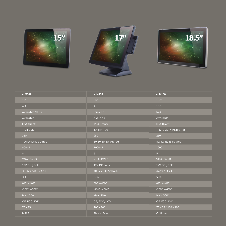





| • M367                 | • M458                          | • M168                          |
|------------------------|---------------------------------|---------------------------------|
| 15"                    | 17"                             | 18.5"                           |
| 4:3                    | 4:3                             | 16:9                            |
| Available (ELO)        | (Project)                       | N/A                             |
| Available              | Available                       | Available                       |
| IP54 (Front)           | IP54 (Front)                    | IP54 (Front)                    |
| 1024 x 768             | 1280 x 1024                     | 1366 x 768 / 1920 x 1080        |
| 350                    | 250                             | 250                             |
| 70/80/80/80 degree     | 80/80/85/85 degree              | 80/80/85/85 degree              |
| 800:1                  | 1000:1                          | 1000:1                          |
| 8 <sup>°</sup>         | 5 <sup>1</sup>                  | 5 <sup>1</sup>                  |
| VGA, DVI-D             | VGA, DVI-D                      | VGA, DVI-D                      |
| 12V DC Jack            | 12V DC Jack                     | 12V DC Jack                     |
| 361.6 x 278.6 x 47.1   | 400.7 x 340.5 x 67.4            | 472 x 293 x 43                  |
| 3.3                    | 5.86                            | 5.86                            |
| $0^{\circ}$ C ~ 40°C   | $0^{\circ}$ C ~ 40 $^{\circ}$ C | $0^{\circ}$ C ~ 40 $^{\circ}$ C |
| $-10^{\circ}$ C ~ 50°C | $-10^{\circ}$ C ~ 50°C          | -20°C ~ 60°C                    |
| Max. 20W               | Max. 20W                        | Max. 30W                        |
| CE, FCC, LVD           | CE, FCC, LVD                    | CE, FCC, LVD                    |
| 75 x 75                | 100 x 100                       | 75 x 75 / 100 x 100             |
| M467                   | Plastic Base                    | Optional                        |